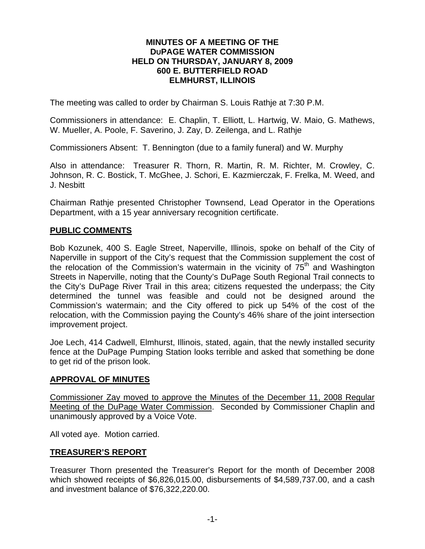#### **MINUTES OF A MEETING OF THE DUPAGE WATER COMMISSION HELD ON THURSDAY, JANUARY 8, 2009 600 E. BUTTERFIELD ROAD ELMHURST, ILLINOIS**

The meeting was called to order by Chairman S. Louis Rathje at 7:30 P.M.

Commissioners in attendance: E. Chaplin, T. Elliott, L. Hartwig, W. Maio, G. Mathews, W. Mueller, A. Poole, F. Saverino, J. Zay, D. Zeilenga, and L. Rathje

Commissioners Absent: T. Bennington (due to a family funeral) and W. Murphy

Also in attendance: Treasurer R. Thorn, R. Martin, R. M. Richter, M. Crowley, C. Johnson, R. C. Bostick, T. McGhee, J. Schori, E. Kazmierczak, F. Frelka, M. Weed, and J. Nesbitt

Chairman Rathje presented Christopher Townsend, Lead Operator in the Operations Department, with a 15 year anniversary recognition certificate.

#### **PUBLIC COMMENTS**

Bob Kozunek, 400 S. Eagle Street, Naperville, Illinois, spoke on behalf of the City of Naperville in support of the City's request that the Commission supplement the cost of the relocation of the Commission's watermain in the vicinity of  $75<sup>th</sup>$  and Washington Streets in Naperville, noting that the County's DuPage South Regional Trail connects to the City's DuPage River Trail in this area; citizens requested the underpass; the City determined the tunnel was feasible and could not be designed around the Commission's watermain; and the City offered to pick up 54% of the cost of the relocation, with the Commission paying the County's 46% share of the joint intersection improvement project.

Joe Lech, 414 Cadwell, Elmhurst, Illinois, stated, again, that the newly installed security fence at the DuPage Pumping Station looks terrible and asked that something be done to get rid of the prison look.

#### **APPROVAL OF MINUTES**

Commissioner Zay moved to approve the Minutes of the December 11, 2008 Regular Meeting of the DuPage Water Commission. Seconded by Commissioner Chaplin and unanimously approved by a Voice Vote.

All voted aye. Motion carried.

#### **TREASURER'S REPORT**

Treasurer Thorn presented the Treasurer's Report for the month of December 2008 which showed receipts of \$6,826,015.00, disbursements of \$4,589,737.00, and a cash and investment balance of \$76,322,220.00.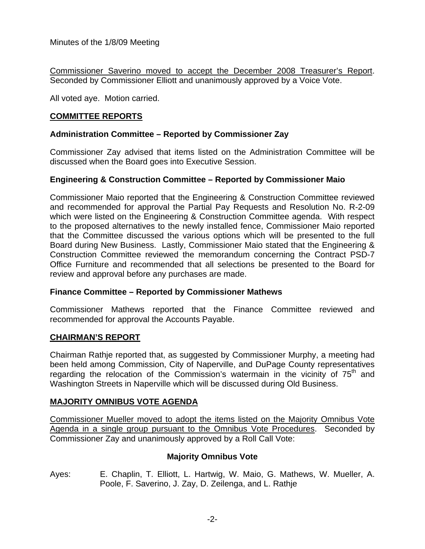Commissioner Saverino moved to accept the December 2008 Treasurer's Report. Seconded by Commissioner Elliott and unanimously approved by a Voice Vote.

All voted aye. Motion carried.

# **COMMITTEE REPORTS**

## **Administration Committee – Reported by Commissioner Zay**

Commissioner Zay advised that items listed on the Administration Committee will be discussed when the Board goes into Executive Session.

## **Engineering & Construction Committee – Reported by Commissioner Maio**

Commissioner Maio reported that the Engineering & Construction Committee reviewed and recommended for approval the Partial Pay Requests and Resolution No. R-2-09 which were listed on the Engineering & Construction Committee agenda. With respect to the proposed alternatives to the newly installed fence, Commissioner Maio reported that the Committee discussed the various options which will be presented to the full Board during New Business. Lastly, Commissioner Maio stated that the Engineering & Construction Committee reviewed the memorandum concerning the Contract PSD-7 Office Furniture and recommended that all selections be presented to the Board for review and approval before any purchases are made.

#### **Finance Committee – Reported by Commissioner Mathews**

Commissioner Mathews reported that the Finance Committee reviewed and recommended for approval the Accounts Payable.

## **CHAIRMAN'S REPORT**

Chairman Rathje reported that, as suggested by Commissioner Murphy, a meeting had been held among Commission, City of Naperville, and DuPage County representatives regarding the relocation of the Commission's watermain in the vicinity of  $75<sup>th</sup>$  and Washington Streets in Naperville which will be discussed during Old Business.

## **MAJORITY OMNIBUS VOTE AGENDA**

Commissioner Mueller moved to adopt the items listed on the Majority Omnibus Vote Agenda in a single group pursuant to the Omnibus Vote Procedures. Seconded by Commissioner Zay and unanimously approved by a Roll Call Vote:

## **Majority Omnibus Vote**

Ayes: E. Chaplin, T. Elliott, L. Hartwig, W. Maio, G. Mathews, W. Mueller, A. Poole, F. Saverino, J. Zay, D. Zeilenga, and L. Rathje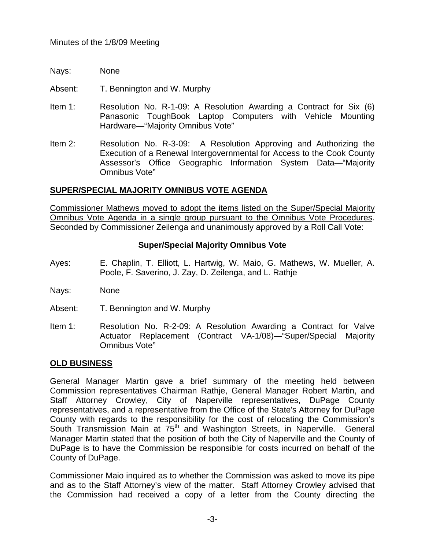- Nays: None
- Absent: T. Bennington and W. Murphy
- Item 1: Resolution No. R-1-09: A Resolution Awarding a Contract for Six (6) Panasonic ToughBook Laptop Computers with Vehicle Mounting Hardware—"Majority Omnibus Vote"
- Item 2: Resolution No. R-3-09: A Resolution Approving and Authorizing the Execution of a Renewal Intergovernmental for Access to the Cook County Assessor's Office Geographic Information System Data—"Majority Omnibus Vote"

## **SUPER/SPECIAL MAJORITY OMNIBUS VOTE AGENDA**

Commissioner Mathews moved to adopt the items listed on the Super/Special Majority Omnibus Vote Agenda in a single group pursuant to the Omnibus Vote Procedures. Seconded by Commissioner Zeilenga and unanimously approved by a Roll Call Vote:

# **Super/Special Majority Omnibus Vote**

- Ayes: E. Chaplin, T. Elliott, L. Hartwig, W. Maio, G. Mathews, W. Mueller, A. Poole, F. Saverino, J. Zay, D. Zeilenga, and L. Rathje
- Nays: None
- Absent: T. Bennington and W. Murphy
- Item 1: Resolution No. R-2-09: A Resolution Awarding a Contract for Valve Actuator Replacement (Contract VA-1/08)—"Super/Special Majority Omnibus Vote"

## **OLD BUSINESS**

General Manager Martin gave a brief summary of the meeting held between Commission representatives Chairman Rathje, General Manager Robert Martin, and Staff Attorney Crowley, City of Naperville representatives, DuPage County representatives, and a representative from the Office of the State's Attorney for DuPage County with regards to the responsibility for the cost of relocating the Commission's South Transmission Main at 75<sup>th</sup> and Washington Streets, in Naperville. General Manager Martin stated that the position of both the City of Naperville and the County of DuPage is to have the Commission be responsible for costs incurred on behalf of the County of DuPage.

Commissioner Maio inquired as to whether the Commission was asked to move its pipe and as to the Staff Attorney's view of the matter. Staff Attorney Crowley advised that the Commission had received a copy of a letter from the County directing the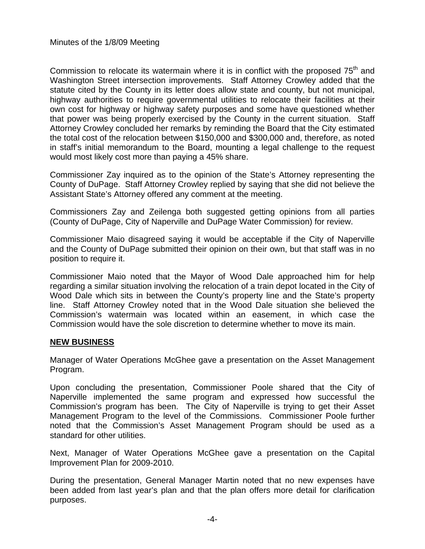Commission to relocate its watermain where it is in conflict with the proposed  $75<sup>th</sup>$  and Washington Street intersection improvements. Staff Attorney Crowley added that the statute cited by the County in its letter does allow state and county, but not municipal, highway authorities to require governmental utilities to relocate their facilities at their own cost for highway or highway safety purposes and some have questioned whether that power was being properly exercised by the County in the current situation. Staff Attorney Crowley concluded her remarks by reminding the Board that the City estimated the total cost of the relocation between \$150,000 and \$300,000 and, therefore, as noted in staff's initial memorandum to the Board, mounting a legal challenge to the request would most likely cost more than paying a 45% share.

Commissioner Zay inquired as to the opinion of the State's Attorney representing the County of DuPage. Staff Attorney Crowley replied by saying that she did not believe the Assistant State's Attorney offered any comment at the meeting.

Commissioners Zay and Zeilenga both suggested getting opinions from all parties (County of DuPage, City of Naperville and DuPage Water Commission) for review.

Commissioner Maio disagreed saying it would be acceptable if the City of Naperville and the County of DuPage submitted their opinion on their own, but that staff was in no position to require it.

Commissioner Maio noted that the Mayor of Wood Dale approached him for help regarding a similar situation involving the relocation of a train depot located in the City of Wood Dale which sits in between the County's property line and the State's property line. Staff Attorney Crowley noted that in the Wood Dale situation she believed the Commission's watermain was located within an easement, in which case the Commission would have the sole discretion to determine whether to move its main.

## **NEW BUSINESS**

Manager of Water Operations McGhee gave a presentation on the Asset Management Program.

Upon concluding the presentation, Commissioner Poole shared that the City of Naperville implemented the same program and expressed how successful the Commission's program has been. The City of Naperville is trying to get their Asset Management Program to the level of the Commissions. Commissioner Poole further noted that the Commission's Asset Management Program should be used as a standard for other utilities.

Next, Manager of Water Operations McGhee gave a presentation on the Capital Improvement Plan for 2009-2010.

During the presentation, General Manager Martin noted that no new expenses have been added from last year's plan and that the plan offers more detail for clarification purposes.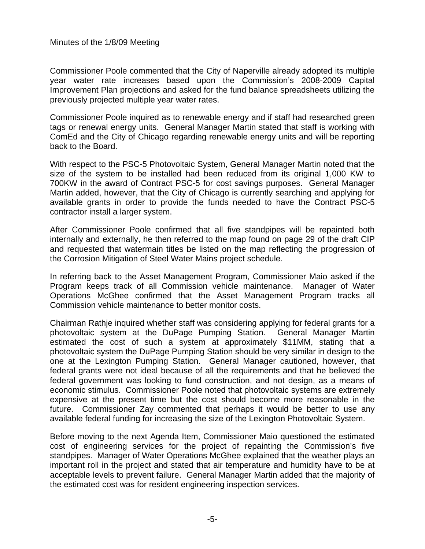Commissioner Poole commented that the City of Naperville already adopted its multiple year water rate increases based upon the Commission's 2008-2009 Capital Improvement Plan projections and asked for the fund balance spreadsheets utilizing the previously projected multiple year water rates.

Commissioner Poole inquired as to renewable energy and if staff had researched green tags or renewal energy units. General Manager Martin stated that staff is working with ComEd and the City of Chicago regarding renewable energy units and will be reporting back to the Board.

With respect to the PSC-5 Photovoltaic System, General Manager Martin noted that the size of the system to be installed had been reduced from its original 1,000 KW to 700KW in the award of Contract PSC-5 for cost savings purposes. General Manager Martin added, however, that the City of Chicago is currently searching and applying for available grants in order to provide the funds needed to have the Contract PSC-5 contractor install a larger system.

After Commissioner Poole confirmed that all five standpipes will be repainted both internally and externally, he then referred to the map found on page 29 of the draft CIP and requested that watermain titles be listed on the map reflecting the progression of the Corrosion Mitigation of Steel Water Mains project schedule.

In referring back to the Asset Management Program, Commissioner Maio asked if the Program keeps track of all Commission vehicle maintenance. Manager of Water Operations McGhee confirmed that the Asset Management Program tracks all Commission vehicle maintenance to better monitor costs.

Chairman Rathje inquired whether staff was considering applying for federal grants for a photovoltaic system at the DuPage Pumping Station. General Manager Martin estimated the cost of such a system at approximately \$11MM, stating that a photovoltaic system the DuPage Pumping Station should be very similar in design to the one at the Lexington Pumping Station. General Manager cautioned, however, that federal grants were not ideal because of all the requirements and that he believed the federal government was looking to fund construction, and not design, as a means of economic stimulus. Commissioner Poole noted that photovoltaic systems are extremely expensive at the present time but the cost should become more reasonable in the future. Commissioner Zay commented that perhaps it would be better to use any available federal funding for increasing the size of the Lexington Photovoltaic System.

Before moving to the next Agenda Item, Commissioner Maio questioned the estimated cost of engineering services for the project of repainting the Commission's five standpipes. Manager of Water Operations McGhee explained that the weather plays an important roll in the project and stated that air temperature and humidity have to be at acceptable levels to prevent failure. General Manager Martin added that the majority of the estimated cost was for resident engineering inspection services.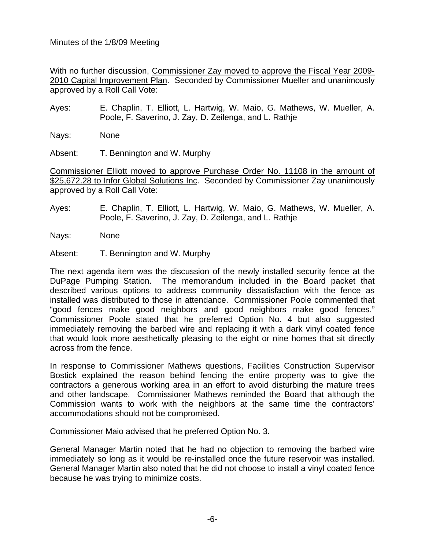With no further discussion, Commissioner Zay moved to approve the Fiscal Year 2009- 2010 Capital Improvement Plan. Seconded by Commissioner Mueller and unanimously approved by a Roll Call Vote:

Ayes: E. Chaplin, T. Elliott, L. Hartwig, W. Maio, G. Mathews, W. Mueller, A. Poole, F. Saverino, J. Zay, D. Zeilenga, and L. Rathje

Nays: None

Absent: T. Bennington and W. Murphy

Commissioner Elliott moved to approve Purchase Order No. 11108 in the amount of \$25,672.28 to Infor Global Solutions Inc. Seconded by Commissioner Zay unanimously approved by a Roll Call Vote:

Ayes: E. Chaplin, T. Elliott, L. Hartwig, W. Maio, G. Mathews, W. Mueller, A. Poole, F. Saverino, J. Zay, D. Zeilenga, and L. Rathje

Nays: None

Absent: T. Bennington and W. Murphy

The next agenda item was the discussion of the newly installed security fence at the DuPage Pumping Station. The memorandum included in the Board packet that described various options to address community dissatisfaction with the fence as installed was distributed to those in attendance. Commissioner Poole commented that "good fences make good neighbors and good neighbors make good fences." Commissioner Poole stated that he preferred Option No. 4 but also suggested immediately removing the barbed wire and replacing it with a dark vinyl coated fence that would look more aesthetically pleasing to the eight or nine homes that sit directly across from the fence.

In response to Commissioner Mathews questions, Facilities Construction Supervisor Bostick explained the reason behind fencing the entire property was to give the contractors a generous working area in an effort to avoid disturbing the mature trees and other landscape. Commissioner Mathews reminded the Board that although the Commission wants to work with the neighbors at the same time the contractors' accommodations should not be compromised.

Commissioner Maio advised that he preferred Option No. 3.

General Manager Martin noted that he had no objection to removing the barbed wire immediately so long as it would be re-installed once the future reservoir was installed. General Manager Martin also noted that he did not choose to install a vinyl coated fence because he was trying to minimize costs.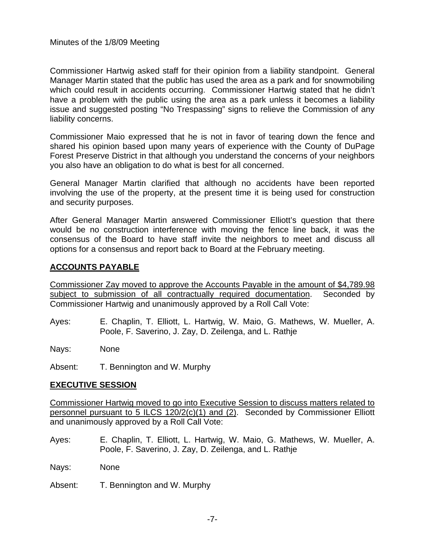Commissioner Hartwig asked staff for their opinion from a liability standpoint. General Manager Martin stated that the public has used the area as a park and for snowmobiling which could result in accidents occurring. Commissioner Hartwig stated that he didn't have a problem with the public using the area as a park unless it becomes a liability issue and suggested posting "No Trespassing" signs to relieve the Commission of any liability concerns.

Commissioner Maio expressed that he is not in favor of tearing down the fence and shared his opinion based upon many years of experience with the County of DuPage Forest Preserve District in that although you understand the concerns of your neighbors you also have an obligation to do what is best for all concerned.

General Manager Martin clarified that although no accidents have been reported involving the use of the property, at the present time it is being used for construction and security purposes.

After General Manager Martin answered Commissioner Elliott's question that there would be no construction interference with moving the fence line back, it was the consensus of the Board to have staff invite the neighbors to meet and discuss all options for a consensus and report back to Board at the February meeting.

# **ACCOUNTS PAYABLE**

Commissioner Zay moved to approve the Accounts Payable in the amount of \$4,789.98 subject to submission of all contractually required documentation. Seconded by Commissioner Hartwig and unanimously approved by a Roll Call Vote:

Ayes: E. Chaplin, T. Elliott, L. Hartwig, W. Maio, G. Mathews, W. Mueller, A. Poole, F. Saverino, J. Zay, D. Zeilenga, and L. Rathje

Nays: None

Absent: T. Bennington and W. Murphy

## **EXECUTIVE SESSION**

Commissioner Hartwig moved to go into Executive Session to discuss matters related to personnel pursuant to 5 ILCS 120/2(c)(1) and (2). Seconded by Commissioner Elliott and unanimously approved by a Roll Call Vote:

Ayes: E. Chaplin, T. Elliott, L. Hartwig, W. Maio, G. Mathews, W. Mueller, A. Poole, F. Saverino, J. Zay, D. Zeilenga, and L. Rathje

Nays: None

Absent: T. Bennington and W. Murphy